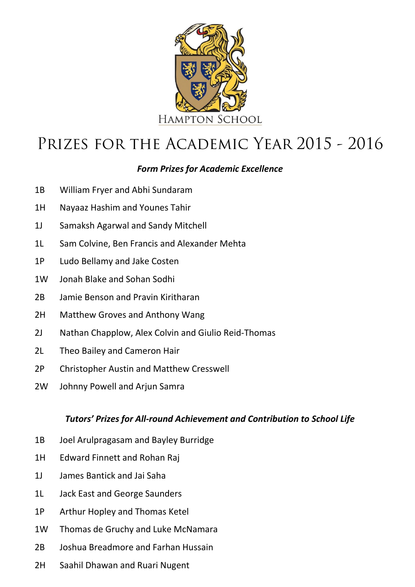

# PRIZES FOR THE ACADEMIC YEAR 2015 - 2016

# *Form Prizes for Academic Excellence*

- 1B William Fryer and Abhi Sundaram
- 1H Nayaaz Hashim and Younes Tahir
- 1J Samaksh Agarwal and Sandy Mitchell
- 1L Sam Colvine, Ben Francis and Alexander Mehta
- 1P Ludo Bellamy and Jake Costen
- 1W Jonah Blake and Sohan Sodhi
- 2B Jamie Benson and Pravin Kiritharan
- 2H Matthew Groves and Anthony Wang
- 2J Nathan Chapplow, Alex Colvin and Giulio Reid-Thomas
- 2L Theo Bailey and Cameron Hair
- 2P Christopher Austin and Matthew Cresswell
- 2W Johnny Powell and Arjun Samra

## *Tutors' Prizes for All-round Achievement and Contribution to School Life*

- 1B Joel Arulpragasam and Bayley Burridge
- 1H Edward Finnett and Rohan Raj
- 1J James Bantick and Jai Saha
- 1L Jack East and George Saunders
- 1P Arthur Hopley and Thomas Ketel
- 1W Thomas de Gruchy and Luke McNamara
- 2B Joshua Breadmore and Farhan Hussain
- 2H Saahil Dhawan and Ruari Nugent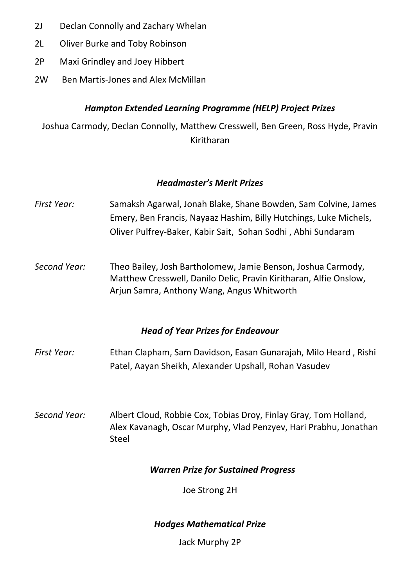- 2J Declan Connolly and Zachary Whelan
- 2L Oliver Burke and Toby Robinson
- 2P Maxi Grindley and Joey Hibbert
- 2W Ben Martis-Jones and Alex McMillan

## *Hampton Extended Learning Programme (HELP) Project Prizes*

Joshua Carmody, Declan Connolly, Matthew Cresswell, Ben Green, Ross Hyde, Pravin Kiritharan

### *Headmaster's Merit Prizes*

- *First Year:* Samaksh Agarwal, Jonah Blake, Shane Bowden, Sam Colvine, James Emery, Ben Francis, Nayaaz Hashim, Billy Hutchings, Luke Michels, Oliver Pulfrey-Baker, Kabir Sait, Sohan Sodhi , Abhi Sundaram
- *Second Year:* Theo Bailey, Josh Bartholomew, Jamie Benson, Joshua Carmody, Matthew Cresswell, Danilo Delic, Pravin Kiritharan, Alfie Onslow, Arjun Samra, Anthony Wang, Angus Whitworth

### *Head of Year Prizes for Endeavour*

- *First Year:* Ethan Clapham, Sam Davidson, Easan Gunarajah, Milo Heard , Rishi Patel, Aayan Sheikh, Alexander Upshall, Rohan Vasudev
- *Second Year:* Albert Cloud, Robbie Cox, Tobias Droy, Finlay Gray, Tom Holland, Alex Kavanagh, Oscar Murphy, Vlad Penzyev, Hari Prabhu, Jonathan Steel

### *Warren Prize for Sustained Progress*

Joe Strong 2H

*Hodges Mathematical Prize*

Jack Murphy 2P